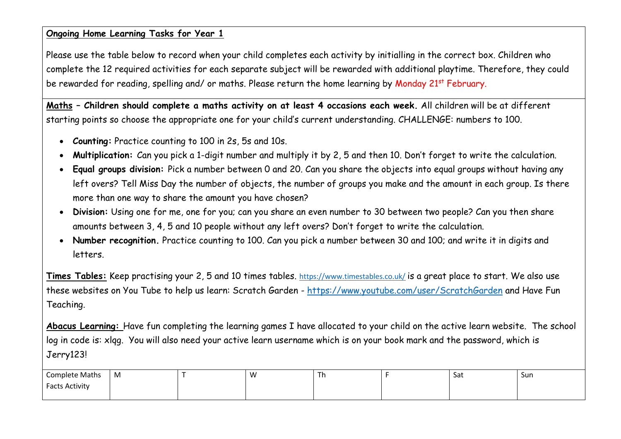#### **Ongoing Home Learning Tasks for Year 1**

Please use the table below to record when your child completes each activity by initialling in the correct box. Children who complete the 12 required activities for each separate subject will be rewarded with additional playtime. Therefore, they could be rewarded for reading, spelling and/ or maths. Please return the home learning by Monday 21<sup>st</sup> February.

**Maths – Children should complete a maths activity on at least 4 occasions each week.** All children will be at different starting points so choose the appropriate one for your child's current understanding. CHALLENGE: numbers to 100.

- **Counting:** Practice counting to 100 in 2s, 5s and 10s.
- **Multiplication:** Can you pick a 1-digit number and multiply it by 2, 5 and then 10. Don't forget to write the calculation.
- **Equal groups division:** Pick a number between 0 and 20. Can you share the objects into equal groups without having any left overs? Tell Miss Day the number of objects, the number of groups you make and the amount in each group. Is there more than one way to share the amount you have chosen?
- **Division:** Using one for me, one for you; can you share an even number to 30 between two people? Can you then share amounts between 3, 4, 5 and 10 people without any left overs? Don't forget to write the calculation.
- **Number recognition.** Practice counting to 100. Can you pick a number between 30 and 100; and write it in digits and letters.

**Times Tables:** Keep practising your 2, 5 and 10 times tables. <https://www.timestables.co.uk/> is a great place to start. We also use these websites on You Tube to help us learn: Scratch Garden - <https://www.youtube.com/user/ScratchGarden> and Have Fun Teaching.

**Abacus Learning:** Have fun completing the learning games I have allocated to your child on the active learn website. The school log in code is: xlqg. You will also need your active learn username which is on your book mark and the password, which is Jerry123!

| <b>Complete Maths</b> | M | ١A<br>. v | 1n | Sat | Sun |
|-----------------------|---|-----------|----|-----|-----|
| <b>Facts Activity</b> |   |           |    |     |     |
|                       |   |           |    |     |     |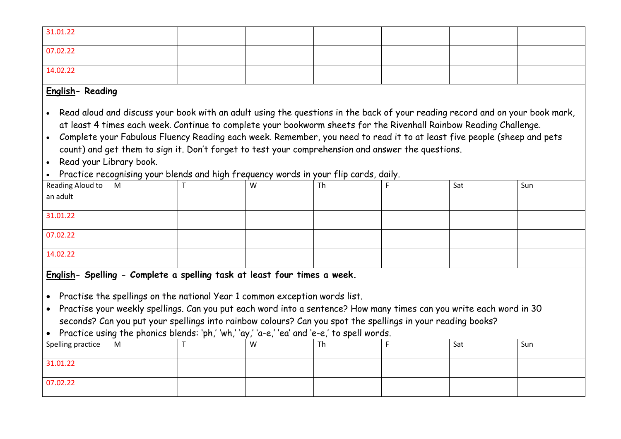| 31.01.22 |  |  |  |  |
|----------|--|--|--|--|
| 07.02.22 |  |  |  |  |
| 14.02.22 |  |  |  |  |

# **English- Reading**

• Read aloud and discuss your book with an adult using the questions in the back of your reading record and on your book mark, at least 4 times each week. Continue to complete your bookworm sheets for the Rivenhall Rainbow Reading Challenge.

- Complete your Fabulous Fluency Reading each week. Remember, you need to read it to at least five people (sheep and pets count) and get them to sign it. Don't forget to test your comprehension and answer the questions.
- Read your Library book.
- Practice recognising your blends and high frequency words in your flip cards, daily.

| Reading Aloud to $\begin{bmatrix} M \\ R \end{bmatrix}$ | - - | W | Th | Sat | Sun |
|---------------------------------------------------------|-----|---|----|-----|-----|
|                                                         |     |   |    |     |     |
|                                                         |     |   |    |     |     |
| 31.01.22                                                |     |   |    |     |     |
|                                                         |     |   |    |     |     |
| 07.02.22                                                |     |   |    |     |     |
| 14.02.22                                                |     |   |    |     |     |
|                                                         |     |   |    |     |     |

**English- Spelling - Complete a spelling task at least four times a week.**

• Practise the spellings on the national Year 1 common exception words list.

• Practise your weekly spellings. Can you put each word into a sentence? How many times can you write each word in 30 seconds? Can you put your spellings into rainbow colours? Can you spot the spellings in your reading books?

• Practice using the phonics blends: 'ph,' 'wh,' 'ay,' 'a-e,' 'ea' and 'e-e,' to spell words.

| Spelling practice   M |  | W | Th | Sat | Sun |
|-----------------------|--|---|----|-----|-----|
| 31.01.22              |  |   |    |     |     |
| 07.02.22              |  |   |    |     |     |